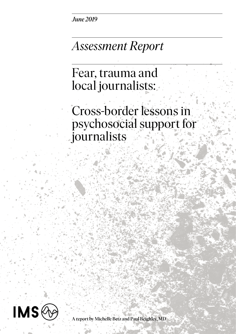*June 2019*

## *Assessment Report*

Fear, trauma and local journalists:

Cross-border lessons in psychosocial support for journalists



A report by Michelle Betz and Paul Beighley, MD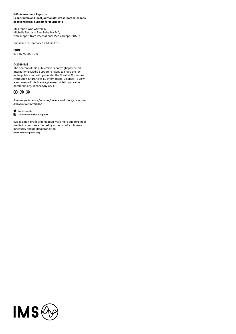#### **IMS Assessment Report – Fear, trauma and local journalists: Cross-border lessons in psychosocial support for journalists**

This report was written by Michelle Betz and Paul Beighley, MD, with support from International Media Support (IMS).

Published in Denmark by IMS in 2019

**ISBN** 978-87-92209-72-6

#### **© 2019 IMS**

The content of this publication is copyright protected. International Media Support is happy to share the text in the publication with you under the Creative Commons Attribution-ShareAlike 4.0 International License. To view a summary of this license, please visit http://creative commons.org/licenses/by-sa/4.0.

#### $\odot$   $\odot$   $\odot$

*Join the global work for press freedom and stay up to date on media issues worldwide*

#### **forfreemedia**

#### **InternationalMediaSupport**

IMS is a non-profit organisation working to support local media in countries affected by armed conflict, human insecurity and political transition. **www.mediasupport.org**

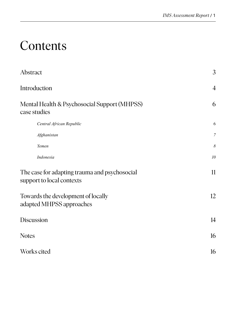# Contents

| Abstract                                                                   | 3                |
|----------------------------------------------------------------------------|------------------|
| Introduction                                                               | $\overline{4}$   |
| Mental Health & Psychosocial Support (MHPSS)<br>case studies               | 6                |
| Central African Republic                                                   | 6                |
| Afghanistan                                                                | $\boldsymbol{7}$ |
| Yemen                                                                      | $\delta$         |
| Indonesia                                                                  | 10               |
| The case for adapting trauma and psychosocial<br>support to local contexts | 11               |
| Towards the development of locally<br>adapted MHPSS approaches             | 12               |
| <b>Discussion</b>                                                          | 14               |
| <b>Notes</b>                                                               | 16               |
| Works cited                                                                | 16               |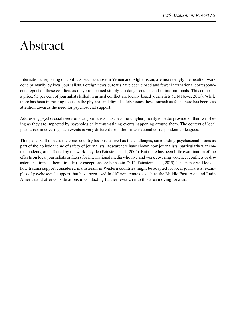# Abstract

International reporting on conflicts, such as those in Yemen and Afghanistan, are increasingly the result of work done primarily by local journalists. Foreign news bureaus have been closed and fewer international correspondents report on these conflicts as they are deemed simply too dangerous to send in internationals. This comes at a price. 95 per cent of journalists killed in armed conflict are locally based journalists (UN News, 2015). While there has been increasing focus on the physical and digital safety issues these journalists face, there has been less attention towards the need for psychosocial support.

Addressing psychosocial needs of local journalists must become a higher priority to better provide for their well-being as they are impacted by psychologically traumatizing events happening around them. The context of local journalists in covering such events is very different from their international correspondent colleagues.

This paper will discuss the cross-country lessons, as well as the challenges, surrounding psychosocial issues as part of the holistic theme of safety of journalists. Researchers have shown how journalists, particularly war correspondents, are affected by the work they do (Feinstein et al., 2002). But there has been little examination of the effects on local journalists or fixers for international media who live and work covering violence, conflicts or disasters that impact them directly (for exceptions see Feinstein, 2012; Feinstein et al., 2015). This paper will look at how trauma support considered mainstream in Western countries might be adapted for local journalists, examples of psychosocial support that have been used in different contexts such as the Middle East, Asia and Latin America and offer considerations in conducting further research into this area moving forward.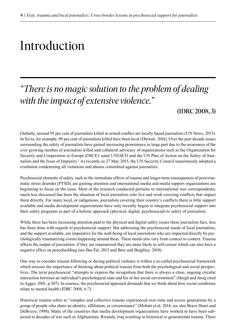# Introduction

### *"There is no magic solution to the problem of dealing with the impact of extensive violence."*

#### (IDRC 2008, 3)

Globally, around 95 per cent of journalists killed in armed conflict are locally based journalists (UN News, 2015). In Syria, for example, 90 per cent of journalists killed have been local (Dlewati, 2016). Over the past decade issues surrounding the safety of journalists have gained increasing prominence in large part due to the awareness of the ever growing number of journalists killed and collateral advocacy of organizations such as the Organization for Security and Cooperation in Europe (OSCE)<sup>1</sup> aand UNESCO and the UN Plan of Action on the Safety of Journalists and the Issue of Impunity.<sup>2</sup> As recently as 27 May 2015, the UN Security Council unanimously adopted a resolution condemning all violations and abuses committed against journalists.

Psychosocial elements of safety, such as the immediate effects of trauma and longer-term consequences of post-traumatic stress disorder (PTSD), are gaining attention and international media and media support organizations are beginning to focus on the issue. Most of the research conducted pertains to international war correspondents; much less discussed has been the situation of local journalists who live and work covering conflicts that impact them directly. For many local, or indigenous, journalists covering their country's conflicts there is little support available and media development organizations have only recently begun to integrate psychosocial support into their safety programs as part of a holistic approach (physical, digital, psychosocial) to safety of journalists.

While there has been increasing attention paid to the physical and digital safety issues these journalists face, less has been done with regards to psychosocial support. But addressing the psychosocial needs of local journalists, and the support available, are imperative for the well-being of local journalists who are impacted directly by psychologically traumatizing events happening around them. These needs also vary from context to context. Trauma affects the output of journalists: if they are traumatized they are more likely to self-censor which can also have a negative effect on peacebuilding (see Bar-Tal, 2015 and Betz and Beighley, 2018).

One way to consider trauma following or during political violence is within a so-called psychosocial framework which stresses the importance of thinking about political trauma from both the psychological and social perspectives. The term psychosocial "attempts to express the recognition that there is always a close, ongoing circular interaction between an individual's psychological state and his or her social environment" (Bergh and Jareg cited in Agger, 2001, p.307). In essence, the psychosocial approach demands that we think about how social conditions relate to mental health (IDRC 2008, 6-7).

Historical trauma refers to "complex and collective trauma experienced over time and across generations by a group of people who share an identity, affiliation, or circumstance" (Mohatt et.al. 2014; see also Brave Heart and DeBruyn, 1998). Many of the countries that media development organizations have worked in have been subjected to decades of war such as Afghanistan, Rwanda, Iraq resulting in historical or generational trauma. There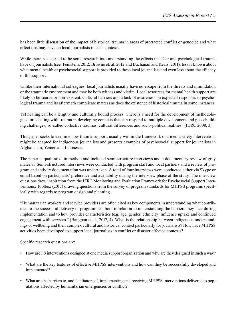has been little discussion of the impact of historical trauma in areas of protracted conflict or genocide and what effect this may have on local journalists in such contexts.

While there has started to be some research into understanding the effects that fear and psychological trauma have on journalists (see: Feinstein, 2012; Browne et. al. 2012 and Buchanan and Keats, 2011), less is known about what mental health or psychosocial support is provided to these local journalists and even less about the efficacy of this support.

Unlike their international colleagues, local journalists usually have no escape from the threats and intimidation or the traumatic environment and may be both witness and victim. Local resources for mental health support are likely to be scarce or non-existent. Cultural barriers and a lack of awareness on expected responses to psychological trauma and its aftermath complicate matters as does the existence of historical trauma in some instances.

Yet healing can be a lengthy and culturally bound process. There is a need for the development of methodologies for "dealing with trauma in developing contexts that can respond to multiple development and peacebuilding challenges, so-called collective traumas, cultural differences and socio-political realities" (IDRC 2008, 3).

This paper seeks to examine how trauma support, usually within the framework of a media safety intervention, might be adapted for indigenous journalists and presents examples of psychosocial support for journalists in Afghanistan, Yemen and Indonesia.

The paper is qualitative in method and included semi-structure interviews and a documentary review of grey material. Semi-structured interviews were conducted with program staff and local partners and a review of program and activity documentation was undertaken. A total of four interviews were conducted either via Skype or email based on participants' preference and availability during the interview phase of the study. The interview questions drew inspiration from the IFRC Monitoring and Evaluation Framework for Psychosocial Support Interventions: Toolbox (2017) drawing questions from the survey of program standards for MHPSS programs specifically with regards to program design and planning.

"Humanitarian workers and service providers are often cited as key components in understanding what contributes to the successful delivery of programmes, both in relation to understanding the barriers they face during implementation and to how provider characteristics (e.g. age, gender, ethnicity) influence uptake and continued engagement with services." (Bangpan et.al., 2017, 4). What is the relationship between indigenous understandings of wellbeing and their complex cultural and historical context particularly for journalists? How have MHPSS activities been developed to support local journalists in conflict or disaster affected contexts?

Specific research questions are:

- How are PS interventions designed at one media support organization and why are they designed in such a way?
- What are the key features of effective MHPSS interventions and how can they be successfully developed and implemented?
- What are the barriers to, and facilitators of, implementing and receiving MHPSS interventions delivered to populations affected by humanitarian emergencies or conflict?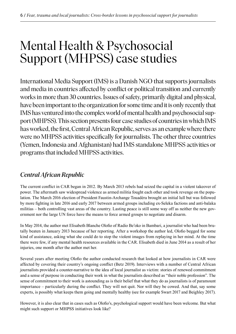## Mental Health & Psychosocial Support (MHPSS) case studies

International Media Support (IMS) is a Danish NGO that supports journalists and media in countries affected by conflict or political transition and currently works in more than 30 countries. Issues of safety, primarily digital and physical, have been important to the organization for some time and it is only recently that IMS has ventured into the complex world of mental health and psychosocial support (MHPSS). This section presents four case studies of countries in which IMS has worked, the first, Central African Republic, serves as an example where there were no MHPSS activities specifically for journalists. The other three countries (Yemen, Indonesia and Afghanistan) had IMS standalone MHPSS activities or programs that included MHPSS activities.

### *Central African Republic*

The current conflict in CAR began in 2012. By March 2013 rebels had seized the capital in a violent takeover of power. The aftermath saw widespread violence as armed militia fought each other and took revenge on the population. The March 2016 election of President Faustin-Archange Touadéra brought an initial lull but was followed by more fighting in late 2016 and early 2017 between armed groups including ex-Seleka factions and anti-balaka militias – both controlling vast areas of the country. Lasting peace is still some way off as neither the new government nor the large UN force have the means to force armed groups to negotiate and disarm.

In May 2014, the author met Elisabeth Blanche Olofio of Radio Be'oko in Bambari, a journalist who had been brutally beaten in January 2013 because of her reporting. After a workshop the author led, Olofio begged for some kind of assistance, asking what she could do to stop the violent images from replaying in her mind. At the time there were few, if any mental health resources available in the CAR. Elisabeth died in June 2014 as a result of her injuries, one month after the author met her.

Several years after meeting Olofio the author conducted research that looked at how journalists in CAR were affected by covering their country's ongoing conflict (Betz 2019). Interviews with a number of Central African journalists provided a counter-narrative to the idea of local journalist as victim: stories of renewed commitment and a sense of purpose in conducting their work in what the journalists described as "their noble profession". The sense of commitment to their work is astounding as is their belief that what they do as journalists is of paramount importance – particularly during the conflict. They will not quit. Nor will they be cowed. And that, say some experts, is possibly what keeps them going and mentally healthy (see for example Swart 2017 and Beighley 2017).

However, it is also clear that in cases such as Olofio's, psychological support would have been welcome. But what might such support or MHPSS initiatives look like?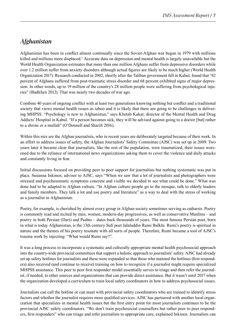### *Afghanistan*

Afghanistan has been in conflict almost continually since the Soviet-Afghan war began in 1979 with millions killed and millions more displaced.<sup>3</sup> Accurate data on depression and mental health is largely unavailable but the World Health Organization estimates that more than one million Afghans suffer from depressive disorders while over 1.2 million suffer from anxiety disorders although actual figures are likely to be much higher (World Health Organization 2017). Research conducted in 2002, shortly after the Taliban government fell in Kabul, found that "42 percent of Afghans suffered from post-traumatic stress disorder and 68 percent exhibited signs of major depression. In other words, up to 19 million of the country's 28 million people were suffering from psychological injuries" (Badkhen 2012). That was nearly two decades of war ago.

Combine 40 years of ongoing conflict with at least two generations knowing nothing but conflict and a traditional society that views mental health issues as taboo and it is likely that there are going to be challenges in delivering MHPSS. "Psychology is new to Afghanistan," says Khetab Kakar, director of the Mental Health and Drug Addicts' Hospital in Kabul. "If a person becomes sick, they will be advised against going to a doctor [but] rather to a shrine or a mullah" (O'Donnell and Sharifi 2016).

Within this mix are the Afghan journalists, who in recent years are deliberately targeted because of their work. In an effort to address issues of safety, the Afghan Journalists' Safety Committee (AJSC) was set up in 2009. Two years later it became clear that journalists, like the rest of the population, were traumatized, their issues worsened due to the reliance of international news organizations asking them to cover the violence and daily attacks and constantly living in fear.

Initial discussions focused on providing peer to peer support for journalists but nothing systematic was put in place. Susanna Inkinen, advisor to AJSC, says "When we saw that a lot of journalists and photographers were stressed and psychosomatic symptoms concrete and visible we decided to see what could be done." What was done had to be adapted to Afghan culture. "In Afghan culture people go to the mosque, talk to elderly leaders and family members. They talk a lot and use poetry and literature" as a way to deal with the stress of working as a journalist in Afghanistan.

Poetry, for example, is cherished by almost every group in Afghan society sometimes serving as catharsis. Poetry is commonly read and recited by men, women, modern-day progressives, as well as conservative Muslims – and poetry in both Persian (Dari) and Pashto – dates back thousands of years. The most famous Persian poet, born in what is today Afghanistan, is the 13th century Sufi poet Jalaluddin Rumi Balkhi. Rumi's poetry is spiritual in nature and the themes of his poetry resonate with all sorts of people. Therefore, Rumi became a tool of AJSC's trauma work by injecting: "What would Rumi say?".

It was a long process to incorporate a systematic and culturally appropriate mental health psychosocial approach into the country-wide provincial committees that support a holistic approach to journalists' safety. AJSC had already set up safety hotlines for journalists and these were expanded so that those who manned the hotlines (first responders) also received (and continue to receive) training on how to recognize if a journalist might require specialized MHPSS assistance. This peer to peer first responder model essentially serves to triage and then refer the journalist, if needed, to other sources and organizations that can provide direct assistance. But it wasn't until 2017 when the organization developed a curriculum to train local safety coordinators in how to address psychosocial issues.

Journalists can call the hotline or can meet with provincial safety coordinators who are trained to identify stress factors and whether the journalist requires more qualified services. AJSC has partnered with another local organization that specializes in mental health issues but the first entry point for most journalists continues to be the provincial AJSC safety coordinators. "We don't train psychosocial counsellors but rather peer to peer responders, first responders" who can triage and refer journalists to appropriate care, explained Inkinen. Journalists can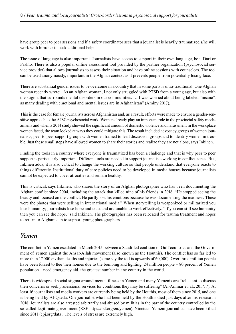have group peer to peer sessions and if a safety coordinator sees that a journalist is heavily traumatized s/he will work with him/her to seek additional help.

The issue of language is also important. Journalists have access to support in their own language, be it Dari or Pashto. There is also a popular online assessment tool provided by the partner organization (psychosocial service provider) that allows journalists to assess their situation and have online sessions with counselors. The tool can be used anonymously, important in the Afghan context as it prevents people from potentially losing face.

There are substantial gender issues to be overcome in a country that in some parts is ultra-traditional. One Afghan woman recently wrote: "As an Afghan woman, I not only struggled with PTSD from a young age, but also with the stigma that surrounds mental disorders in our communities. … I was worried about being labeled "insane", as many dealing with emotional and mental issues are in Afghanistan" (Aminy 2017).

This is the case for female journalists across Afghanistan and, as a result, efforts were made to ensure a gender-sensitive approach to the AJSC psychosocial work. Women already play an important role in the provincial safety mechanisms and when a 2014 study showed the significant amount of domestic violence and harassment in the workplace women faced, the team looked at ways they could mitigate this. The result included advocacy groups of women journalists, peer to peer support groups with women trained to lead discussion groups and to identify women in trouble. Just these small steps have allowed women to share their stories and realize they are not alone, says Inkinen.

Finding the tools in a country where everyone is traumatized has been a challenge and that is why peer to peer support is particularly important. Different tools are needed to support journalists working in conflict zones. But, Inkinen adds, it is also critical to change the working culture so that people understand that everyone reacts to things differently. Institutional duty of care policies need to be developed in media houses because journalists cannot be expected to cover atrocities and remain healthy.

This is critical, says Inkinen, who shares the story of an Afghan photographer who has been documenting the Afghan conflict since 2004, including the attack that killed nine of his friends in 2018. "He stopped seeing the beauty and focused on the conflict. He partly lost his emotions because he was documenting the madness. These were the photos that were selling in international media." When storytelling is weaponized or militarized you lose humanity; journalists lose hope and trust and are unable to work effectively. "If you can still see humanity then you can see the hope," said Inkinen. The photographer has been relocated for trauma treatment and hopes to return to Afghanistan to support young photographers.

#### *Yemen*

The conflict in Yemen escalated in March 2015 between a Saudi-led coalition of Gulf countries and the Government of Yemen against the Ansar-Allah movement (also known as the Houthis). The conflict has so far led to more than 17,000 civilian deaths and injuries (some say the toll is upwards of 60,000). Over three million people have been forced to flee their homes due to the bombing and fighting. 24 million people – 80 percent of Yemen population – need emergency aid, the greatest number in any country in the world.

There is widespread social stigma around mental illness in Yemen and many Yemenis are "reluctant to discuss their concerns or seek professional services for conditions they may be suffering" (Al-Ammar et. al., 2017, 7). At least 16 journalists and media workers are currently being held by the Houthis, most of them since 2015, and one is being held by Al-Qaeda. One journalist who had been held by the Houthis died just days after his release in 2018. Journalists are also arrested arbitrarily and abused by militias in the part of the country controlled by the so-called legitimate government (RSF https://rsf.org/en/yemen). Nineteen Yemeni journalists have been killed since 2011 (cpj.org/data). The levels of stress are extremely high.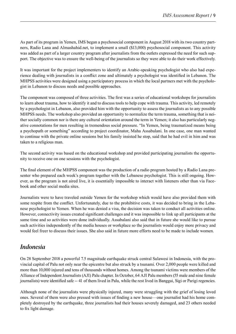As part of its program in Yemen, IMS began a psychosocial component in August 2018 with its two country partners, Radio Lana and Almashahid.net, to implement a small (\$13,000) psychosocial component. This activity was added as part of a larger country program after journalists from the outlets expressed the need for such support. The objective was to ensure the well-being of the journalists so they were able to do their work effectively.

It was important for the project implementers to identify an Arabic-speaking psychologist who also had experience dealing with journalists in a conflict zone and ultimately a psychologist was identified in Lebanon. The MHPSS activities were designed using a participatory process in which the local partners met with the psychologist in Lebanon to discuss needs and possible approaches.

The component was composed of three activities. The first was a series of educational workshops for journalists to learn about trauma, how to identify it and to discuss tools to help cope with trauma. This activity, led remotely by a psychologist in Lebanon, also provided him with the opportunity to assess the journalists as to any possible MHPSS needs. The workshop also provided an opportunity to normalize the term trauma, something that is neither socially common nor is there any cultural orientation around the term in Yemen; it also has particularly negative connotations for men resulting in tremendous social pressure. "In Yemen, being traumatized means being a psychopath or something" according to project coordinator, Maha Assabalani. In one case, one man wanted to continue with the private online sessions but his family insisted he stop, said that he had evil in him and was taken to a religious man.

The second activity was based on the educational workshop and provided participating journalists the opportunity to receive one on one sessions with the psychologist.

The final element of the MHPSS component was the production of a radio program hosted by a Radio Lana presenter who prepared each week's program together with the Lebanese psychologist. This is still ongoing. However, as the program is not aired live, it is essentially impossible to interact with listeners other than via Facebook and other social media sites.

Journalists were to have traveled outside Yemen for the workshop which would have also provided them with some respite from the conflict. Unfortunately, due to the prohibitive costs, it was decided to bring in the Lebanese psychologist to Yemen. When he was denied a visa, the decision was taken to conduct all activities online. However, connectivity issues created significant challenges and it was impossible to link up all participants at the same time and so activities were done individually. Assabalani also said that in future she would like to pursue such activities independently of the media houses or workplace so the journalists would enjoy more privacy and would feel freer to discuss their issues. She also said in future more efforts need to be made to include women.

### *Indonesia*

On 28 September 2018 a powerful 7.5 magnitude earthquake struck central Sulawesi in Indonesia, with the provincial capital of Palu not only near the epicentre but also struck by a tsunami. Over 2,000 people were killed and more than 10,000 injured and tens of thousands without homes. Among the tsunami victims were members of the Alliance of Independent Journalists (AJI) Palu chapter. In October, 64 AJI Palu members (55 male and nine female journalists) were identified safe -- 41 of them lived in Palu, while the rest lived in Banggai, Sigi or Parigi regencies.

Although none of the journalists were physically injured, many were struggling with the grief of losing loved ones. Several of them were also pressed with issues of finding a new house—one journalist had his home completely destroyed by the earthquake, three journalists had their houses severely damaged, and 23 others needed to fix light damage.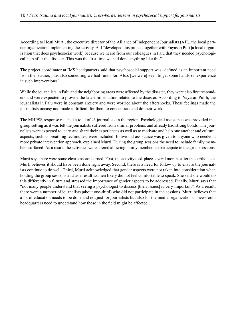According to Hesti Murti, the executive director of the Alliance of Independent Journalists (AJI), the local partner organization implementing the activity, AJI "developed this project together with Yayasan Puli [a local organization that does psychosocial work] because we heard from our colleagues in Palu that they needed psychological help after the disaster. This was the first time we had done anything like this".

The project coordinator at IMS headquarters said that psychosocial support was "defined as an important need from the partner, plus also something we had funds for. Also, [we were] keen to get some hands-on experience in such interventions".

While the journalists in Palu and the neighboring areas were affected by the disaster, they were also first responders and were expected to provide the latest information related to the disaster. According to Yayasan Pulih, the journalists in Palu were in constant anxiety and were worried about the aftershocks. These feelings made the journalists uneasy and made it difficult for them to concentrate and do their work.

The MHPSS response reached a total of 43 journalists in the region. Psychological assistance was provided in a group setting as it was felt the journalists suffered from similar problems and already had strong bonds. The journalists were expected to learn and share their experiences as well as to motivate and help one another and cultural aspects, such as breathing techniques, were included. Individual assistance was given to anyone who needed a more private intervention approach, explained Murti. During the group sessions the need to include family members surfaced. As a result, the activities were altered allowing family members to participate in the group sessions.

Murti says there were some clear lessons learned. First, the activity took place several months after the earthquake; Murti believes it should have been done right away. Second, there is a need for follow up to ensure the journalists continue to do well. Third, Murti acknowledged that gender aspects were not taken into consideration when holding the group sessions and as a result women likely did not feel comfortable to speak. She said she would do this differently in future and stressed the importance of gender aspects to be addressed. Finally, Murti says that "not many people understand that seeing a psychologist to discuss [their issues] is very important". As a result, there were a number of journalists (about one-third) who did not participate in the sessions. Murti believes that a lot of education needs to be done and not just for journalists but also for the media organizations: "newsroom headquarters need to understand how those in the field might be affected".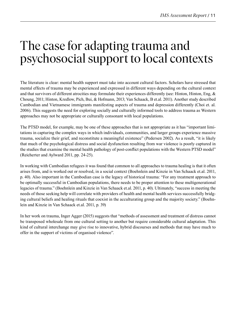## The case for adapting trauma and psychosocial support to local contexts

The literature is clear: mental health support must take into account cultural factors. Scholars have stressed that mental effects of trauma may be experienced and expressed in different ways depending on the cultural context and that survivors of different atrocities may formulate their experiences differently (see: Hinton, Hinton, Eng, & Choung, 2011; Hinton, Kredlow, Pich, Bui, & Hofmann, 2013; Van Schaack, B et.al. 2011). Another study described Cambodian and Vietnamese immigrants manifesting aspects of trauma and depression differently (Choi et. al. 2006). This suggests the need for exploring socially and culturally informed tools to address trauma as Western approaches may not be appropriate or culturally consonant with local populations.

The PTSD model, for example, may be one of these approaches that is not appropriate as it has "important limitations in capturing the complex ways in which individuals, communities, and larger groups experience massive trauma, socialize their grief, and reconstitute a meaningful existence" (Pedersen 2002). As a result, "it is likely that much of the psychological distress and social dysfunction resulting from war violence is poorly captured in the studies that examine the mental health pathology of post-conflict populations with the Western PTSD model" (Reicherter and Aylward 2011, pp. 24-25).

In working with Cambodian refugees it was found that common to all approaches to trauma healing is that it often arises from, and is worked out or resolved, in a social context (Boehnlein and Kinzie in Van Schaack et.al. 2011, p. 40). Also important in the Cambodian case is the legacy of historical trauma: "For any treatment approach to be optimally successful in Cambodian populations, there needs to be proper attention to these multigenerational legacies of trauma." (Boehnlein and Kinzie in Van Schaack et.al. 2011, p. 40). Ultimately, "success in meeting the needs of those seeking help will correlate with providers of health and mental health services successfully bridging cultural beliefs and healing rituals that coexist in the acculturating group and the majority society." (Boehnlein and Kinzie in Van Schaack et.al. 2011, p. 39)

In her work on trauma, Inger Agger (2015) suggests that "methods of assessment and treatment of distress cannot be transposed wholesale from one cultural setting to another but require considerable cultural adaptation. This kind of cultural interchange may give rise to innovative, hybrid discourses and methods that may have much to offer in the support of victims of organised violence".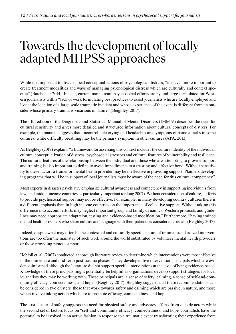## Towards the development of locally adapted MHPSS approaches

While it is important to discern local conceptualizations of psychological distress, "it is even more important to create treatment modalities and ways of managing psychological distress which are culturally and context specific" (Batchelder 2014). Indeed, current mainstream psychosocial efforts are by and large formulated for Western journalists with a "lack of work formulating best practices to assist journalists who are locally employed and live at the location of a large scale traumatic incident and whose experience of the event is different from an outsider whose primary trauma is vicarious in nature" (Beighley, 2017).

The fifth edition of the Diagnostic and Statistical Manual of Mental Disorders (DSM V) describes the need for cultural sensitivity and gives more detailed and structured information about cultural concepts of distress. For example, the manual suggests that uncontrollable crying and headaches are symptoms of panic attacks in some cultures, while difficulty breathing may be the primary symptom in other cultures (APA, 2013).

As Beighley (2017) explains "a framework for assessing this context includes the cultural identity of the individual, cultural conceptualization of distress, psychosocial stressors and cultural features of vulnerability and resilience. The cultural features of the relationship between the individual and those who are attempting to provide support and training is also important to define to avoid impediments to a trusting and effective bond. Without sensitivity to these factors a trainer or mental health provider may be ineffective in providing support. Planners developing programs that will be in support of local journalists must be aware of the need for this cultural competency".

Most experts in disaster psychiatry emphasize cultural awareness and competency in supporting individuals from low- and middle-income countries as particularly important (deJong 2007). Without consideration of culture, "efforts to provide psychosocial support may not be effective. For example, in many developing country cultures there is a different emphasis than in high income countries on the importance of collective support. Without taking this difference into account efforts may neglect important group and family dynamics. Western protocols and guidelines may need appropriate adaptation, testing and evidence-based modification." Furthermore, "having trained mental health providers who share culture and language with their patients is considered crucial" (Beighley 2017).

Indeed, despite what may often be the contextual and culturally specific nature of trauma, standardized interventions are too often the mainstay of such work around the world substituted by volunteer mental health providers or those providing remote support.

Hobfoll et. al. (2007) conducted a thorough literature review to determine which interventions were most effective in the immediate and mid-term post-trauma phases. "They developed five intervention principals which are evidence-informed although the literature did not support specific interventions at the level of being evidence-based. Knowledge of these principals might potentially be helpful as organizations develop support strategies for local journalists they may be working with. These principals are; a sense of safety, calming, a sense of self-and-community efficacy, connectedness, and hope" (Beighley 2017). Beighley suggests that these recommendations can be considered in two clusters: those that work towards safety and calming which are passive in nature, and those which involve taking action which are to promote efficacy, connectedness and hope.

The first cluster of safety suggests the need for physical safety and advocacy efforts from outside actors while the second set of factors focus on "self-and-community efficacy, connectedness, and hope. Journalists have the potential to be involved in an active fashion in response to a traumatic event transforming their experience from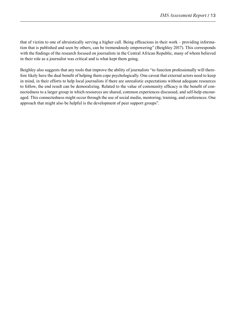that of victim to one of altruistically serving a higher call. Being efficacious in their work – providing information that is published and seen by others, can be tremendously empowering" (Beighley 2017). This corresponds with the findings of the research focused on journalists in the Central African Republic, many of whom believed in their role as a journalist was critical and is what kept them going.

Beighley also suggests that any tools that improve the ability of journalists "to function professionally will therefore likely have the dual benefit of helping them cope psychologically. One caveat that external actors need to keep in mind, in their efforts to help local journalists if there are unrealistic expectations without adequate resources to follow, the end result can be demoralizing. Related to the value of community efficacy is the benefit of connectedness to a larger group in which resources are shared, common experiences discussed, and self-help encouraged. This connectedness might occur through the use of social media, mentoring, training, and conferences. One approach that might also be helpful is the development of peer support groups".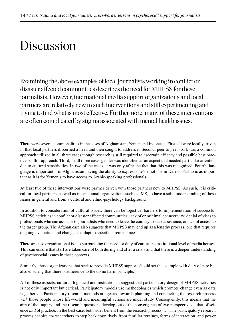# Discussion

Examining the above examples of local journalists working in conflict or disaster affected communities describes the need for MHPSS for these journalists. However, international media support organizations and local partners are relatively new to such interventions and still experimenting and trying to find what is most effective. Furthermore, many of these interventions are often complicated by stigma associated with mental health issues.

There were several commonalities in the cases of Afghanistan, Yemen and Indonesia. First, all were locally driven in that local partners discerned a need and then sought to address it. Second, peer to peer work was a common approach utilized in all three cases though research is still required to ascertain efficacy and possible best practices of this approach. Third, in all three cases gender was identified as an aspect that needed particular attention due to cultural sensitivities. In two of the cases, it was only after the fact that this was recognized. Fourth, language is important – in Afghanistan having the ability to express one's emotions in Dari or Pashto is as important as it is for Yemenis to have access to Arabic-speaking professionals.

At least two of these interventions were partner driven with those partners new to MHPSS. As such, it is critical for local partners, as well as international organizations such as IMS, to have a solid understanding of these issues in general and from a cultural and ethno-psychology background.

In addition to consideration of cultural issues, there can be logistical barriers to implementation of successful MHPSS activities in conflict or disaster affected communities: lack of or minimal connectivity; denial of visas to professionals who can assist or to journalists who need to leave the country to seek assistance; or lack of access to the target group. The Afghan case also suggests that MHPSS may end up as a lengthy process, one that requires ongoing evaluation and changes to adapt to specific circumstances.

There are also organizational issues surrounding the need for duty of care at the institutional level of media houses. This can ensure that staff are taken care of both during and after a crisis and that there is a deeper understanding of psychosocial issues in these contexts.

Similarly, those organizations that seek to provide MHPSS support should set the example with duty of care but also ensuring that there is adherence to the do no harm principle.

All of these aspects, cultural, logistical and institutional, suggest that participatory design of MHPSS activities is not only important but critical. Participatory models use methodologies which promote change even as data is gathered. "Participatory research methods are geared towards planning and conducting the research process *with* those people whose life-world and meaningful actions are under study. Consequently, this means that the aim of the inquiry and the research questions develop out of the convergence of two perspectives—that of science *and* of practice. In the best case, both sides benefit from the research process. …. The participatory research process enables co-researchers to step back cognitively from familiar routines, forms of interaction, and power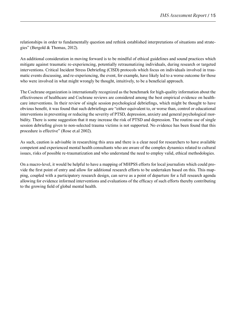relationships in order to fundamentally question and rethink established interpretations of situations and strategies" (Bergold & Thomas, 2012).

An additional consideration in moving forward is to be mindful of ethical guidelines and sound practices which mitigate against traumatic re-experiencing, potentially retraumatizing individuals, during research or targeted interventions. Critical Incident Stress Debriefing (CISD) protocols which focus on individuals involved in traumatic events discussing, and re-experiencing, the event, for example, have likely led to a worse outcome for those who were involved in what might wrongly be thought, intuitively, to be a beneficial approach.

The Cochrane organization is internationally recognized as the benchmark for high-quality information about the effectiveness of healthcare and Cochrane reviews are considered among the best empirical evidence on healthcare interventions. In their review of single session psychological debriefings, which might be thought to have obvious benefit, it was found that such debriefings are "either equivalent to, or worse than, control or educational interventions in preventing or reducing the severity of PTSD, depression, anxiety and general psychological morbidity. There is some suggestion that it may increase the risk of PTSD and depression. The routine use of single session debriefing given to non-selected trauma victims is not supported. No evidence has been found that this procedure is effective" (Rose et.al 2002).

As such, caution is advisable in researching this area and there is a clear need for researchers to have available competent and experienced mental health consultants who are aware of the complex dynamics related to cultural issues, risks of possible re-traumatization and who understand the need to employ valid, ethical methodologies.

On a macro-level, it would be helpful to have a mapping of MHPSS efforts for local journalists which could provide the first point of entry and allow for additional research efforts to be undertaken based on this. This mapping, coupled with a participatory research design, can serve as a point of departure for a full research agenda allowing for evidence informed interventions and evaluations of the efficacy of such efforts thereby contributing to the growing field of global mental health.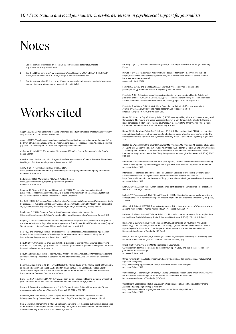### Notes

- See for example information on recent OSCE conference on safety of journalists: http://www.osce.org/fom/151466
- 2 See the UN Plan here: http://www.unesco.org/new/fileadmin/MULTIMEDIA/HQ/CI/CI/pdf/ WPFD/UN%20Plan%20of%20Action\_Safety%20of%20Journalists.pdf
- 3 See for example Khan 2012 and https://www.cato.org/publications/policy-analysis/war-statetrauma-state-why-afghanistan-remains-stuck-conflict#full

### Works cited

Agger, I. (2015). Calming the mind: Healing after mass atrocity in Cambodia. *Transcultural Psychiatry*, 0(0), 1-18 doi: 10.1177/1363461514568336.

Agger, I. (2001). "Psychosocial assistance during ethnopolitical warfare in the former Yugoslavia". In D. Chriot & M. Seligman (Eds.), *Ethno-political warfare: Causes, consequences and a possible solution*  (pp. 305-318). Washington DC: American Psychological Association.

Al-Ammar, F et.al (2017) *The Impact of War on Mental Health in Yemen: A neglected crisis.* Sana'a: Sana'a Center.

American Psychiatric Association. *Diagnostic and statistical manual of mental disorders,* fifth edition. Washington, DC: American Psychiatric Association; 2013.

Aminy, T (2017) *PTSD is silently killing Afghanistan*. https://www.freewomenwriters.org/2017/08/23/ptsd-killing-afghanistan-silently-afghan-women/ Accessed 3 June 2019.

Badkhen, A (2012). *Afghanistan: PTSDland.* Pulitzer Center. https://pulitzercenter.org/reporting/afghanistan-ptsdland Accessed 3 June 2019.

Bangpan, M, Dickson, K, Felix, L and Chiumento, A (2017). *The impact of mental health and psychosocial support interventions on people affected by humanitarian emergencies: A systematic review.* Humanitarian Evidence Programme. Oxford: Oxfam GB.

Bar-Tal D (2015). Self-censorship as a Socio-political-psychological Phenomenon: Nature, Antecedents,<br>Consequences. Available at: https://www.researchgate.net/publication/280732289\_Self-censorship\_ as\_a\_Socio-political-psychological\_Phenomenon\_Nature\_Antecedents\_Consequences.

Batchelder, G (2014). *Ethnopsychology: Creation of culturally specific treatments.* https://anthropology.ua.edu/blogs/gregbatchelder/tag/ethnopsychology/ Accessed 3 June 2019.

Beighley, P (2017). Considerations for providing emotional support to local journalists during and in the aftermath of psychologically traumatizing events in Friedrichsen, M and Kamalipour, Y (eds) *Digital Transformation in Journalism and News Media.* Springer. pp. 409-415.

Bergold, J and Thomas, S (2012). Participatory Research Methods: A Methodological Approach in Motion. *Forum Qualitative Sozialforschung / Forum: Qualitative Social Research*, 13 (1). Art. 30, http://nbn-resolving.de/urn:nbn:de:0114-fqs1201302.

Betz, M (2019). Commitment amid Conflict: The experience of Central African journalists covering their war" in Thompson, A (ed). *Media and Mass Atrocity: The Rwanda genocide and beyond.* Centre for International Governance Innovation.

Betz, M and Beighley, P (2018). *Fear, trauma and local journalists: Implications for media development and peacebuilding.* Presented at Safety of Journalists Conference, Oslo Met University, November 2018.

Boehnlein, JK and Kinzie, JD (2011). The Effect of the Khmer Rouge on the Mental health of Cambodia and Cambodians in Van Schaack, B, Reicherter, D & Chhang, Y (eds) *Cambodia's Hidden Scars: Trauma Psychology in the Wake of the Khmer Rouge: An edited volume on Cambodia's mental health.*  Documentation Center of Cambodia (CD-Cam).

Brave Heart MYH, DeBruyn LM (1998). The American Indian Holocaust: Healing historical unresolved grief. *American Indian and Alaska Native Mental Health Research.* 1998;8(2):56–78.

Browne, T, Evangeli, M, and Greenberg, N (2012). Trauma-Related Guilt and Posttraumatic Stress Among Journalists, *Journal of Traumatic Stress* Vol. 25 2012 p. 207-210.

Buchanan, Marla and Keats, P (2011). Coping With Traumatic Stress in Journalism: A Critical Ethnographic Study, *International Journal of Psychology* Vol. 46. Psychology Press p. 127-135.

Choi Y, Mericle A, Harachi TW (2006). Using Rasch analysis to test the cross-cultural item equivalence of the Harvard Trauma Questionnaire and the Hopkins Symptom Checklist across Vietnamese and Cambodian immigrant mothers. *J Appl Meas*. 7(1):16–38.

de Jong JT (2007). *Textbook of Disaster Psychiatry.* Cambridge, New York: Cambridge University Press.

Dlewati H (2016). *Few journalist deaths in Syria – because there aren't many left.* Available at: https://www.newsdeeply.com/syria/community/2016/08/31/fewer-journalist-deaths-in-syriabecause-there-arent-many-left (accessed 1 April 2019).

Feinstein A, Owen J and Blair N (2002). A Hazardous Profession: War, journalists and psychopathology. *American Journal of Psychiatry* 159:1570-1575.

Feinstein, A (2012). Mexican journalists: An investigation of their emotional health. Article first published online: 13 JUL 2012. DOI: 10.1002/jts.21715 International Society for Traumatic Stress Studies *Journal of Traumatic Stress* Volume 25, Issue 4, pages 480–483, August 2012.

Feinstein, A and Starr, S (2015). Civil War in Syria: the psychological effects on journalists", *Journal of Aggression, Conflict and Peace Research*, Vol. 7 Issue: 1, pp.57-64, https://doi.org/10.1108/JACPR-04-2014-0119

Hinton DE., Hinton A, Eng KT, Choung S (2011). PTSD severity and key idioms of distress among rural Cambodians: The results of a needs assessment survey in van Schaack B, Reicherter D, Chhang (eds) Cambodia's hidden scars: *Trauma psychology in the wake of the Khmer Rouge.* Phnom Penh, Cambodia: Documentation Center of Cambodia (DC-Cam).

Hinton DE, Kredlow MA, Pich V, Bui E, Hofmann SG (2013) The relationship of PTSD to key somatic complaints and cultural syndromes among Cambodian refugees attending a psychiatric clinic: The Cambodian Somatic Symptom and Syndrome Inventory (CSSI). *Transcultural Psychiatry* 50(3): 347– 370.

Hobfoll SE, Watson P, Bell CC, Bryant RA, Brymer MJ, Friedman MJ, Friedman M, Gersons BP, de Jong JT, Layne CM, Maguen S, Neria Y, Norwood AE, Pynoos RS, Reissman D, Ruzek JI, Shalev AY, Solomon Z, Steinberg AM, Ursano RJ. Five essential elements of immediate and mid–term mass trauma intervention: empirical evidence. *Psychiatry: Interpersonal and Biological Processes* Vol. 70 (4), 2007, 283-315.

International Development Research Centre (IDRC) (2008). *Trauma, development and peacebuilding: Towards an integrated psychosocial approach.* http://www.incore.ulst.ac.uk/pdfs/IDRCoutline.pdf Accessed 4 June 2019.

International Federation of Red Cross and Red Crescent Societies (IFRC) (2017). *Monitoring and Evaluation Framework for Psychosocial Support Interventions: Toolbox.* Available at: https://www.mhinnovation.net/resources/ifrc-psychosocial-monitoring-and-evaluation-framework Accessed 4 June 2019.

Khan, IG (2012). Afghanistan: Human cost of armed conflict since the Soviet invasion. *Perceptions*  Winter 2012 Vol. 17(4): 209-224.

Mohatt, NV, Thompson, AB, Thai, ND, and Tebes, JK (2014). Historical trauma as public narrative: a conceptual review of how history impacts present-day health. *Social science & medicine* (1982), 106, 128–136.

O'Donnell, L & Sharifi, K (2016). *Trauma in Afghanistan.* https://www.vnews.com/After-years-of-war-Afghans-wary-to-talk-of-mental-health-4208296 Accessed 3 June 2019.

Pedersen, D. (2002). Political Violence, Ethnic Conflict, and Contemporary Wars: Broad Implications for Health and Social Well-being. *Social Science and Medicine* vol. 55 (2):175-190. July 2002.

Reicherter, D & Aylward, A (2011). The Impact of War And Genocide On Psychiatry And Social Psychology in Van Schaack, B, Reicherter, D & Chhang, Y (eds) *Cambodia's Hidden Scars: Trauma Psychology in the Wake of the Khmer Rouge: An edited volume on Cambodia's mental health.* Documentation Center of Cambodia (CD-Cam).

Rose, S., Bisson, J., Churchill, R., & Wessely, S. (2002). Psychological debriefing for preventing posttraumatic stress disorder (PTSD). *Cochrane Database Syst Rev, 2*(2). Swart, T (2017). *Study into the Mental Resilience of Journalists.* 

www.taraswart.com/wp-content/uploads/2017/05/Report-Study-into-the-mental-resilience-of-journalists-Dr-Tara-Swart.pdf. *.*<br>Accessed 3 June 2019.

United Nations (2015). *Adopting resolution, Security Council condemns violence against journalist, urges end to impunity.*

http://www.un.org/apps/news/story.asp?NewsID=50980#.VWbAOPmqpBc Accessed 3 June 2019.

Van Schaack, B., Reicherter, D. & Chhang, Y (2011). *Cambodia's Hidden Scars: Trauma Psychology in the Wake of the Khmer Rouge: An edited volume on Cambodia's mental health.*  Documentation Center of Cambodia (CD-Cam).

World Health Organization (2017). *Depression a leading cause of ill health and disability among Afghans – fighting stigma is key to recovery.* http://www.emro.who.int/afg/afghanistan-news/world-health-day-2017.html Accessed 3 June 2019.